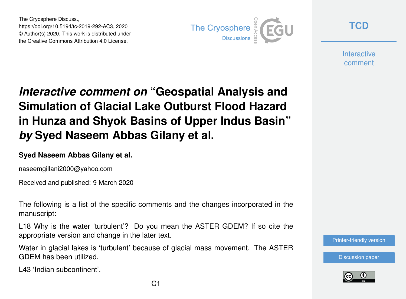The Cryosphere Discuss., https://doi.org/10.5194/tc-2019-292-AC3, 2020 © Author(s) 2020. This work is distributed under the Creative Commons Attribution 4.0 License.



**[TCD](https://www.the-cryosphere-discuss.net/)**

**Interactive** comment

## *Interactive comment on* **"Geospatial Analysis and Simulation of Glacial Lake Outburst Flood Hazard in Hunza and Shyok Basins of Upper Indus Basin"** *by* **Syed Naseem Abbas Gilany et al.**

## **Syed Naseem Abbas Gilany et al.**

naseemgillani2000@yahoo.com

Received and published: 9 March 2020

The following is a list of the specific comments and the changes incorporated in the manuscript:

L18 Why is the water 'turbulent'? Do you mean the ASTER GDEM? If so cite the appropriate version and change in the later text.

Water in glacial lakes is 'turbulent' because of glacial mass movement. The ASTER GDEM has been utilized.

L43 'Indian subcontinent'.

[Printer-friendly version](https://www.the-cryosphere-discuss.net/tc-2019-292/tc-2019-292-AC3-print.pdf)

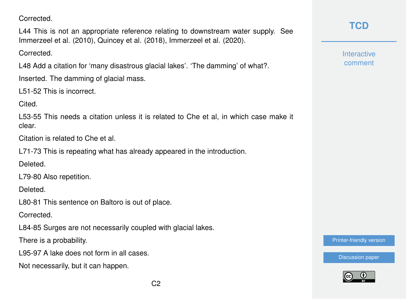Corrected.

L44 This is not an appropriate reference relating to downstream water supply. See Immerzeel et al. (2010), Quincey et al. (2018), Immerzeel et al. (2020).

Corrected.

L48 Add a citation for 'many disastrous glacial lakes'. 'The damming' of what?.

Inserted. The damming of glacial mass.

L51-52 This is incorrect.

Cited.

L53-55 This needs a citation unless it is related to Che et al, in which case make it clear.

Citation is related to Che et al.

L71-73 This is repeating what has already appeared in the introduction.

Deleted.

L79-80 Also repetition.

Deleted.

L80-81 This sentence on Baltoro is out of place.

**Corrected** 

L84-85 Surges are not necessarily coupled with glacial lakes.

There is a probability.

L95-97 A lake does not form in all cases.

Not necessarily, but it can happen.

**Interactive** comment

[Printer-friendly version](https://www.the-cryosphere-discuss.net/tc-2019-292/tc-2019-292-AC3-print.pdf)

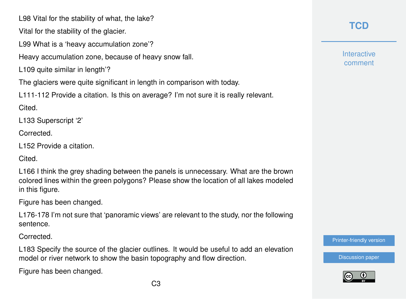L98 Vital for the stability of what, the lake?

Vital for the stability of the glacier.

L99 What is a 'heavy accumulation zone'?

Heavy accumulation zone, because of heavy snow fall.

L109 quite similar in length'?

The glaciers were quite significant in length in comparison with today.

L111-112 Provide a citation. Is this on average? I'm not sure it is really relevant.

Cited.

L133 Superscript '2'

Corrected.

L152 Provide a citation.

Cited.

L166 I think the grey shading between the panels is unnecessary. What are the brown colored lines within the green polygons? Please show the location of all lakes modeled in this figure.

Figure has been changed.

L176-178 I'm not sure that 'panoramic views' are relevant to the study, nor the following sentence.

Corrected.

L183 Specify the source of the glacier outlines. It would be useful to add an elevation model or river network to show the basin topography and flow direction.

Figure has been changed.

**Interactive** comment

[Printer-friendly version](https://www.the-cryosphere-discuss.net/tc-2019-292/tc-2019-292-AC3-print.pdf)

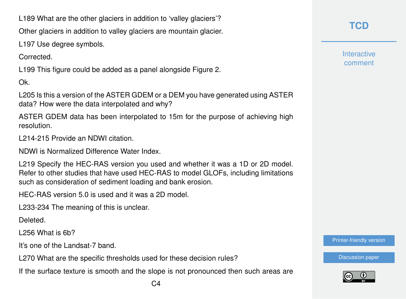L189 What are the other glaciers in addition to 'valley glaciers'?

Other glaciers in addition to valley glaciers are mountain glacier.

L197 Use degree symbols.

**Corrected** 

L199 This figure could be added as a panel alongside Figure 2.

Ok.

L205 Is this a version of the ASTER GDEM or a DEM you have generated using ASTER data? How were the data interpolated and why?

ASTER GDEM data has been interpolated to 15m for the purpose of achieving high resolution.

L214-215 Provide an NDWI citation.

NDWI is Normalized Difference Water Index.

L219 Specify the HEC-RAS version you used and whether it was a 1D or 2D model. Refer to other studies that have used HEC-RAS to model GLOFs, including limitations such as consideration of sediment loading and bank erosion.

HEC-RAS version 5.0 is used and it was a 2D model.

L233-234 The meaning of this is unclear.

Deleted.

L256 What is 6b?

It's one of the Landsat-7 band.

L270 What are the specific thresholds used for these decision rules?

If the surface texture is smooth and the slope is not pronounced then such areas are

**Interactive** comment

[Printer-friendly version](https://www.the-cryosphere-discuss.net/tc-2019-292/tc-2019-292-AC3-print.pdf)

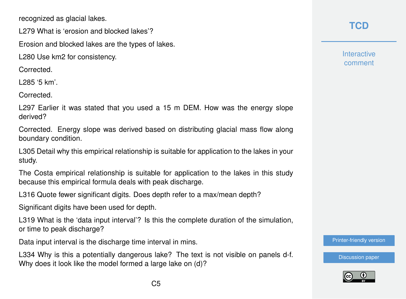recognized as glacial lakes.

L279 What is 'erosion and blocked lakes'?

Erosion and blocked lakes are the types of lakes.

L280 Use km2 for consistency.

Corrected.

L285 '5 km'.

Corrected.

L297 Earlier it was stated that you used a 15 m DEM. How was the energy slope derived?

Corrected. Energy slope was derived based on distributing glacial mass flow along boundary condition.

L305 Detail why this empirical relationship is suitable for application to the lakes in your study.

The Costa empirical relationship is suitable for application to the lakes in this study because this empirical formula deals with peak discharge.

L316 Quote fewer significant digits. Does depth refer to a max/mean depth?

Significant digits have been used for depth.

L319 What is the 'data input interval'? Is this the complete duration of the simulation, or time to peak discharge?

Data input interval is the discharge time interval in mins.

L334 Why is this a potentially dangerous lake? The text is not visible on panels d-f. Why does it look like the model formed a large lake on (d)?

## **[TCD](https://www.the-cryosphere-discuss.net/)**

**Interactive** comment

[Printer-friendly version](https://www.the-cryosphere-discuss.net/tc-2019-292/tc-2019-292-AC3-print.pdf)